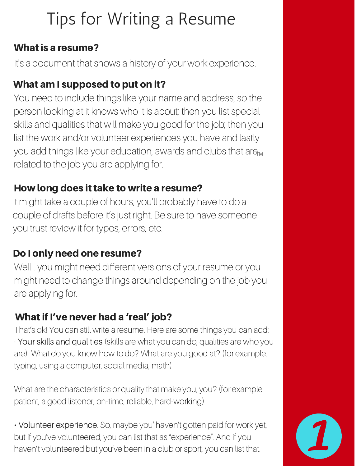# Tips for Writing a Resume

### What is a resume?

It's a document that shows a history of your work experience.

## What am I supposed to put on it?

You need to include things like your name and address, so the person looking at it knows who it is about; then you list special skills and qualities that will make you good for the job; then you list the work and/or volunteer experiences you have and lastly you add things like your education, awards and clubs that are<sub>m</sub> related to the job you are applying for.

## How long does it take to write a resume?

It might take a couple of hours; you'll probably have to do a couple of drafts before it's just right. Be sure to have someone you trust review it for typos, errors, etc.

## Do I only need one resume?

Well… you might need different versions of your resume or you might need to change things around depending on the job you are applying for.

# What if I've never had a 'real' job?

That's ok! You can still write a resume. Here are some things you can add: • Your skills and qualities (skills are what you can do, qualities are who you are) What do you know how to do? What are you good at? (for example: typing, using a computer, social media, math)

What are the characteristics or quality that make you, you? (for example: patient, a good listener, on-time, reliable, hard-working)

• Volunteer experience. So, maybe you' haven't gotten paid for work yet, but if you've volunteered, you can list that as "experience". And if you haven't volunteered but you've been in a club or sport, you can list that.

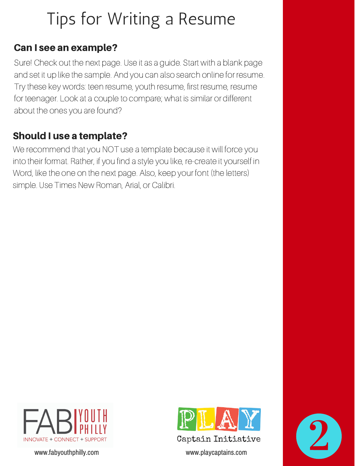# Tips for Writing a Resume

### Can I see an example?

Sure! Check out the next page. Use it as a guide. Start with a blank page and set it up like the sample. And you can also search online for resume. Try these key words: teen resume, youth resume, first resume, resume for teenager. Look at a couple to compare; what is similar or different about the ones you are found?

## Should I use a template?

We recommend that you NOT use a template because it will force you into their format. Rather, if you find a style you like, re-create it yourself in Word, like the one on the next page. Also, keep your font (the letters) simple. Use Times New Roman, Arial, or Calibri.



www.fabyouthphilly.com www.playcaptains.com